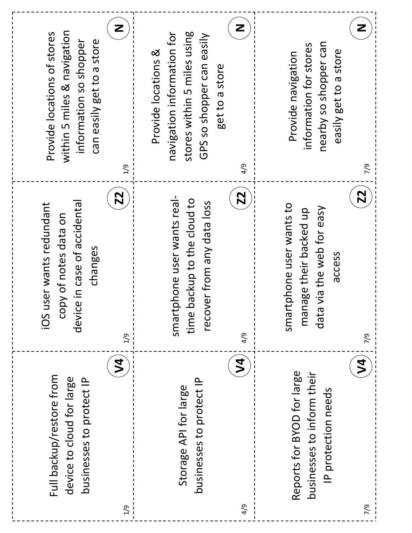| <b>N4</b><br>Full backup/restore from<br>device to cloud for large<br>businesses to protect IP | <b>Z2</b><br>device in case of accidenta<br>user wants redundant<br>copy of notes data on<br>changes<br>iOS<br>1/9   | Z<br>within 5 miles & navigation<br>Provide locations of stores<br>information so shopper<br>can easily get to a store<br>2/9               |
|------------------------------------------------------------------------------------------------|----------------------------------------------------------------------------------------------------------------------|---------------------------------------------------------------------------------------------------------------------------------------------|
| $\geqslant$<br>businesses to protect IP<br>Storage API for large                               | <b>Z2</b><br>tphone user wants real-<br>backup to the cloud to<br>recover from any data loss<br>time<br>smart<br>4/9 | Z<br>stores within 5 miles using<br>navigation information for<br>GPS so shopper can easily<br>Provide locations &<br>get to a store<br>4/9 |
| <b>N4</b><br>Reports for BYOD for large<br>businesses to inform their<br>IP protection needs   | <b>Z2</b><br>smartphone user wants to<br>data via the web for easy<br>manage their backed up<br>access<br>7/9        | Z<br>nearby so shopper can<br>information for stores<br>easily get to a store<br>Provide navigation<br>୧                                    |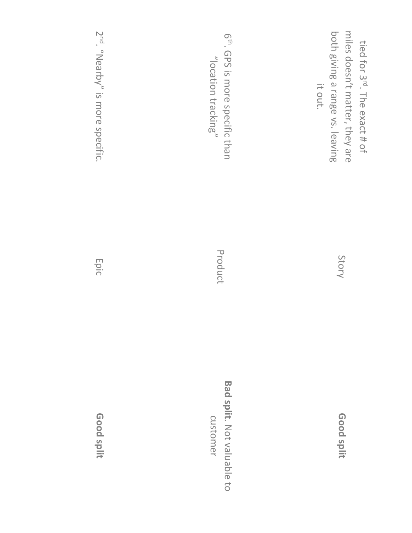| 6 <sup>th</sup> . GPS is more specific than<br>"location tracking" | miles doesn't matter, they are<br>both giving a range vs. leaving<br>tied for 3rd. The exact # of<br>it out. |
|--------------------------------------------------------------------|--------------------------------------------------------------------------------------------------------------|
| Product                                                            | Story                                                                                                        |
| <b>Bad split.</b> Not valuable to<br>customer                      | Good split                                                                                                   |

2nd. "Nearby" is more specific.

Epic

**Good split**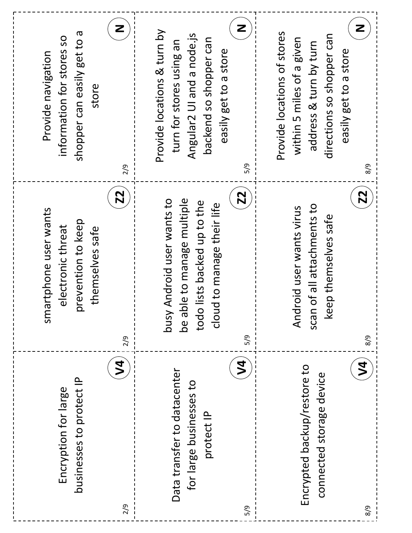| Z<br>shopper can easily get to a<br>information for stores so<br>Provide navigation<br>store<br>2/9<br><b>Z2</b>  | Z<br>Provide locations & turn by<br>Angular2 UI and a node.js<br>backend so shopper can<br>turn for stores using an<br>easily get to a store<br>5/9<br><b>Z2</b> | Z<br>Provide locations of stores<br>directions so shopper can<br>within 5 miles of a given<br>address & turn by turn<br>easily get to a store<br>8/9<br><b>Z2</b> |
|-------------------------------------------------------------------------------------------------------------------|------------------------------------------------------------------------------------------------------------------------------------------------------------------|-------------------------------------------------------------------------------------------------------------------------------------------------------------------|
| artphone user wants<br>orevention to keep<br>electronic threat<br>themselves safe<br>$\overline{\text{S}}$<br>2/9 | ble to manage multiple<br>Android user wants to<br>todo lists backed up to the<br>d to manage their life<br>Nsnq<br>clou<br>be at<br>5/9                         | of all attachments to<br>Iroid user wants virus<br>keep themselves safe<br>And<br>scan<br>8/9                                                                     |
| 2<br>businesses to protect IP<br>Encryption for large<br>2/9                                                      | $\overline{2}$<br>Data transfer to datacenter<br>for large businesses to<br>protect IP<br>5/9                                                                    | $\geqslant$<br>Encrypted backup/restore to<br>connected storage device<br>8/9                                                                                     |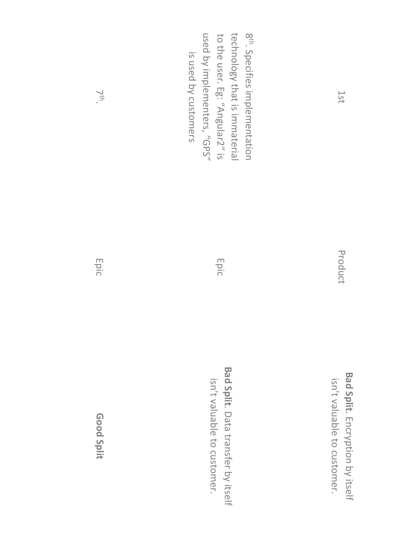| used by implementers, "GPS"<br>to the user. Eg: "Angular2" is<br>technology that is immaterial<br>8 <sup>th</sup> . Specifies implementation<br>is used by customers | 1ST                                                            |
|----------------------------------------------------------------------------------------------------------------------------------------------------------------------|----------------------------------------------------------------|
| Epic                                                                                                                                                                 | Product                                                        |
| Bad Split. Data transfer by itself<br>isn't valuable to customer.                                                                                                    | Bad Split. Encryption by itself<br>isn't valuable to customer. |

Epic

**Good Split**

7th.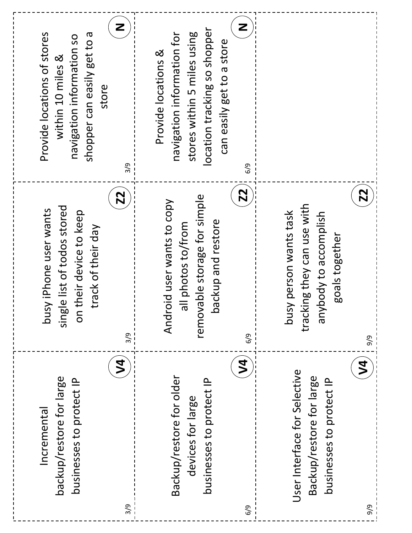| Z<br>shopper can easily get to a<br>Provide locations of stores<br>navigation information so<br>within 10 miles &<br>store<br>3/9<br><b>Z2</b> | Z<br>location tracking so shopper<br>navigation information for<br>stores within 5 miles using<br>can easily get to a store<br>Provide locations &<br>6/9<br><b>Z2</b> | <b>Z2</b>                                                                                                   |
|------------------------------------------------------------------------------------------------------------------------------------------------|------------------------------------------------------------------------------------------------------------------------------------------------------------------------|-------------------------------------------------------------------------------------------------------------|
| single list of todos stored<br>busy iPhone user wants<br>their device to keep<br>track of their day<br>$\overline{a}$<br>3/9                   | removable storage for simple<br>Android user wants to copy<br>ackup and restore<br>all photos to/from<br><u> വ</u><br>6/9                                              | tracking they can use with<br>busy person wants task<br>anybody to accomplish<br>goals together<br>9/9      |
| $\mathbf{\Sigma}$<br>backup/restore for large<br>businesses to protect IP<br>Incremental<br>3/9                                                | $\overline{\mathcal{L}}$<br>Backup/restore for older<br>businesses to protect IP<br>devices for large<br>6/9                                                           | $\mathbf{y}$<br>User Interface for Selective<br>Backup/restore for large<br>businesses to protect IP<br>6/6 |